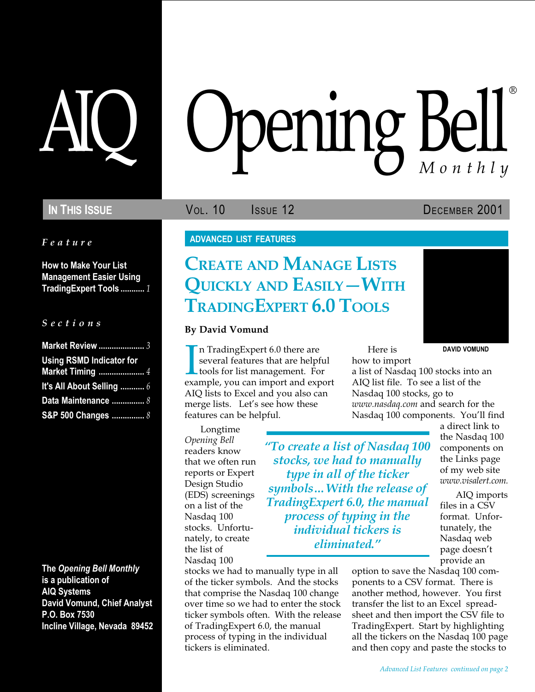Feature

How to Make Your List Management Easier Using TradingExpert Tools ........... 1

# S e c t i o n s

| <b>Market Review </b> 3         |  |
|---------------------------------|--|
| <b>Using RSMD Indicator for</b> |  |
| <b>Market Timing </b> 4         |  |
| It's All About Selling  6       |  |
| Data Maintenance  8             |  |
| S&P 500 Changes  8              |  |

The Opening Bell Monthly is a publication of AIQ Systems David Vomund, Chief Analyst P.O. Box 7530 Incline Village, Nevada 89452

# AIQ Opening Bell ®

**IN THIS ISSUE VOL. 10** ISSUE 12 DECEMBER 2001

DAVID VOMUND

# ADVANCED LIST FEATURES

# CREATE AND MANAGE LISTS QUICKLY AND EASILY - WITH TRADINGEXPERT 6.0 TOOLS

# By David Vomund

In TradingExpert 6.0 there are<br>several features that are helpful<br>tools for list management. For<br>example, you can import and export n TradingExpert 6.0 there are several features that are helpful **L** tools for list management. For AIQ lists to Excel and you also can merge lists. Let's see how these features can be helpful.

Longtime Opening Bell readers know that we often run reports or Expert Design Studio (EDS) screenings on a list of the Nasdaq 100 stocks. Unfortunately, to create the list of Nasdaq 100

To create a list of Nasdaq 100 stocks, we had to manually type in all of the ticker symbols... With the release of TradingExpert 6.0, the manual process of typing in the individual tickers is eliminated.

stocks we had to manually type in all of the ticker symbols. And the stocks that comprise the Nasdaq 100 change over time so we had to enter the stock ticker symbols often. With the release of TradingExpert 6.0, the manual process of typing in the individual tickers is eliminated.

Here is how to import

a list of Nasdaq 100 stocks into an AIQ list file. To see a list of the Nasdaq 100 stocks, go to www.nasdaq.com and search for the Nasdaq 100 components. You'll find

> a direct link to the Nasdaq 100 components on the Links page of my web site www.visalert.com. AIQ imports

files in a CSV format. Unfortunately, the Nasdaq web page doesn't provide an

option to save the Nasdaq 100 components to a CSV format. There is another method, however. You first transfer the list to an Excel spreadsheet and then import the CSV file to TradingExpert. Start by highlighting all the tickers on the Nasdaq 100 page and then copy and paste the stocks to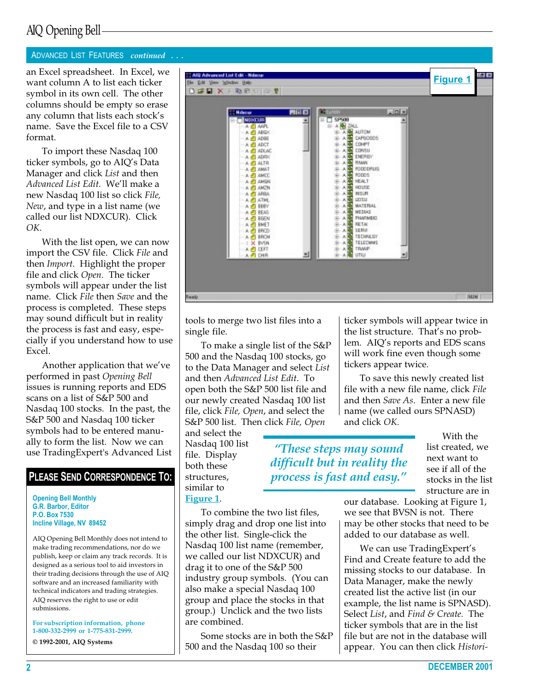# AIQ Opening Bell

# ADVANCED LIST FEATURES continued . . .

want column A to list each ticker symbol in its own cell. The other columns should be empty so erase any column that lists each stock's name. Save the Excel file to a CSV format.

To import these Nasdaq 100 ticker symbols, go to AIQ's Data Manager and click List and then Advanced List Edit. We'll make a new Nasdaq 100 list so click File, New, and type in a list name (we called our list NDXCUR). Click OK.

With the list open, we can now import the CSV file. Click File and then Import. Highlight the proper file and click Open. The ticker symbols will appear under the list name. Click File then Save and the process is completed. These steps may sound difficult but in reality the process is fast and easy, especially if you understand how to use Excel.

Another application that we've performed in past Opening Bell issues is running reports and EDS scans on a list of S&P 500 and Nasdaq 100 stocks. In the past, the S&P 500 and Nasdaq 100 ticker symbols had to be entered manually to form the list. Now we can use TradingExpert's Advanced List

# PLEASE SEND CORRESPONDENCE TO:

Opening Bell Monthly G.R. Barbor, Editor P.O. Box 7530 Incline Village, NV 89452

AIQ Opening Bell Monthly does not intend to make trading recommendations, nor do we publish, keep or claim any track records. It is designed as a serious tool to aid investors in their trading decisions through the use of AIQ software and an increased familiarity with technical indicators and trading strategies. AIQ reserves the right to use or edit submissions.

For subscription information, phone 1-800-332-2999 or 1-775-831-2999.

© 1992-2001, AIQ Systems



tools to merge two list files into a single file.

To make a single list of the S&P 500 and the Nasdaq 100 stocks, go to the Data Manager and select List and then Advanced List Edit. To open both the S&P 500 list file and our newly created Nasdaq 100 list file, click File, Open, and select the S&P 500 list. Then click File, Open

and select the Nasdaq 100 list file. Display both these structures, similar to Figure 1.

These steps may sound difficult but in reality the process is fast and easy.

ticker symbols will appear twice in the list structure. That's no problem. AIQ's reports and EDS scans will work fine even though some tickers appear twice.

To save this newly created list file with a new file name, click File and then Save As. Enter a new file name (we called ours SPNASD) and click OK.

> With the list created, we next want to see if all of the stocks in the list structure are in

To combine the two list files, simply drag and drop one list into the other list. Single-click the Nasdaq 100 list name (remember, we called our list NDXCUR) and drag it to one of the S&P 500 industry group symbols. (You can also make a special Nasdaq 100 group and place the stocks in that group.) Unclick and the two lists are combined.

Some stocks are in both the S&P 500 and the Nasdaq 100 so their

our database. Looking at Figure 1, we see that BVSN is not. There may be other stocks that need to be added to our database as well.

We can use TradingExpert's Find and Create feature to add the missing stocks to our database. In Data Manager, make the newly created list the active list (in our example, the list name is SPNASD). Select List, and Find & Create. The ticker symbols that are in the list file but are not in the database will appear. You can then click Histori-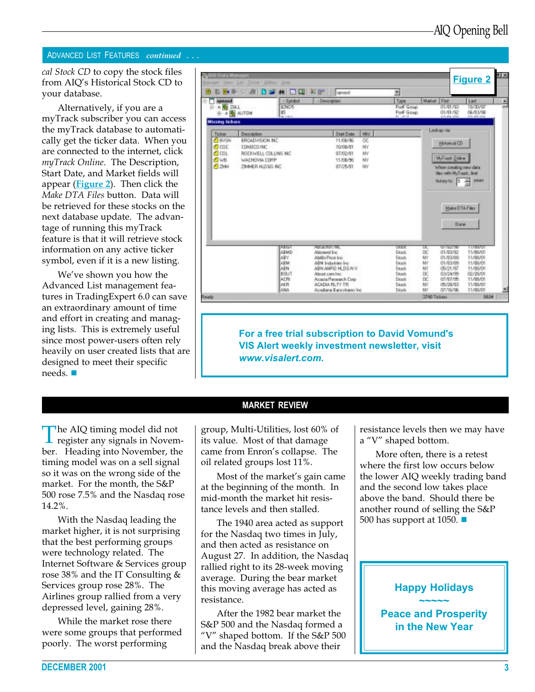## ADVANCED LIST FEATURES continued . . .

cal Stock CD to copy the stock files from AIQ's Historical Stock CD to your database.

Alternatively, if you are a myTrack subscriber you can access the myTrack database to automatically get the ticker data. When you are connected to the internet, click myTrack Online. The Description, Start Date, and Market fields will appear (Figure 2). Then click the Make DTA Files button. Data will be retrieved for these stocks on the next database update. The advantage of running this myTrack feature is that it will retrieve stock information on any active ticker symbol, even if it is a new listing.

We've shown you how the Advanced List management features in TradingExpert 6.0 can save an extraordinary amount of time and effort in creating and managing lists. This is extremely useful since most power-users often rely heavily on user created lists that are designed to meet their specific needs.

| <b>FM</b><br><b>Hannad</b>                                            | <b>B</b> uch<br>- Sambol                                                                                                   | ★ 日口 # 8<br><b>Issued</b><br><b>Description</b>                                                                           | ×<br>Type                            | Maket Fez<br>Last                                                                                                                     |
|-----------------------------------------------------------------------|----------------------------------------------------------------------------------------------------------------------------|---------------------------------------------------------------------------------------------------------------------------|--------------------------------------|---------------------------------------------------------------------------------------------------------------------------------------|
| <b>B-A RE ZALL</b><br>H- A R ALITOM                                   | 12405<br>邯<br>an in status.                                                                                                |                                                                                                                           | PortF Group<br>PorF Group<br>$n = n$ | 01/01/92<br>10/23/57<br>06/03/98<br>01/01/92<br>435-854 MWS<br>Art. PM MW                                                             |
| <b>Missing tickers</b>                                                |                                                                                                                            |                                                                                                                           |                                      | Leokap via                                                                                                                            |
| Ticker<br><b>BVSN</b><br>அமை<br>n <sub>cm</sub><br><b>END</b><br>පිනම | Description<br><b>BROADVISION INC.</b><br><b>CONDODING</b><br>ROCKWELL COLLINS INC.<br>WACHOVIA CORP.<br>ZIHNER HLDGS INC. | <b>Start Date</b><br>Mot<br>11/08/96<br>OC<br>WY<br>10/08/01<br>WY<br>07/02/01<br><b>MY</b><br>11/06/96<br>WV<br>87/25/81 |                                      | Historical ED<br>MyTrack Orient<br>when creating new data<br>films with MyTsachi, limit<br>Heilmyke 5<br>seatt<br>골<br>Make DTA Films |
|                                                                       |                                                                                                                            |                                                                                                                           |                                      | <b>Dares</b>                                                                                                                          |

For a free trial subscription to David Vomund's VIS Alert weekly investment newsletter, visit www.visalert.com.

# MARKET REVIEW

The AIQ timing model did not register any signals in November. Heading into November, the timing model was on a sell signal so it was on the wrong side of the market. For the month, the S&P 500 rose 7.5% and the Nasdaq rose 14.2%.

With the Nasdaq leading the market higher, it is not surprising that the best performing groups were technology related. The Internet Software & Services group rose 38% and the IT Consulting & Services group rose 28%. The Airlines group rallied from a very depressed level, gaining 28%.

While the market rose there were some groups that performed poorly. The worst performing

group, Multi-Utilities, lost 60% of its value. Most of that damage came from Enron's collapse. The oil related groups lost 11%.

Most of the market's gain came at the beginning of the month. In mid-month the market hit resistance levels and then stalled.

The 1940 area acted as support for the Nasdaq two times in July, and then acted as resistance on August 27. In addition, the Nasdaq rallied right to its 28-week moving average. During the bear market this moving average has acted as resistance.

After the 1982 bear market the S&P 500 and the Nasdaq formed a "V" shaped bottom. If the  $S\&P 500$ and the Nasdaq break above their

resistance levels then we may have a "V" shaped bottom.

More often, there is a retest where the first low occurs below the lower AIQ weekly trading band and the second low takes place above the band. Should there be another round of selling the S&P 500 has support at 1050.  $\blacksquare$ 

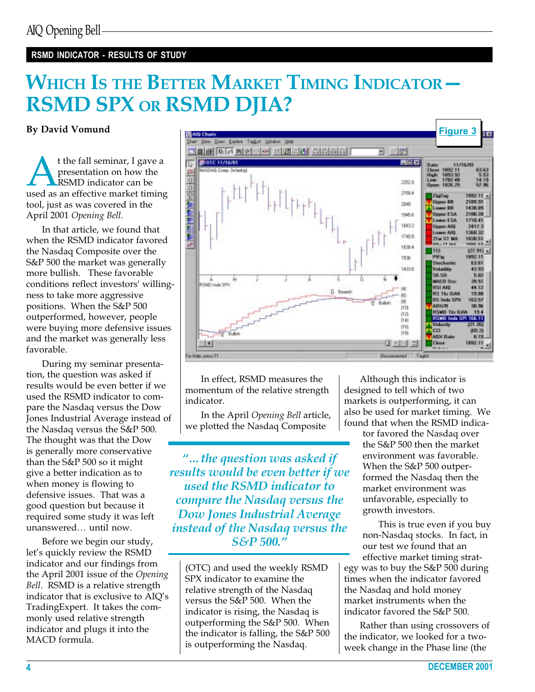# RSMD INDICATOR - RESULTS OF STUDY

# WHICH IS THE BETTER MARKET TIMING INDICATOR -RSMD SPX OR RSMD DJIA?

t the fall seminar, I gave a<br>
presentation on how the<br>
RSMD indicator can be<br>
used as an effective market timing presentation on how the RSMD indicator can be tool, just as was covered in the April 2001 Opening Bell.

In that article, we found that when the RSMD indicator favored the Nasdaq Composite over the S&P 500 the market was generally more bullish. These favorable conditions reflect investors' willingness to take more aggressive positions. When the S&P 500 outperformed, however, people were buying more defensive issues and the market was generally less favorable.

During my seminar presentation, the question was asked if results would be even better if we used the RSMD indicator to compare the Nasdaq versus the Dow Jones Industrial Average instead of the Nasdaq versus the S&P 500. The thought was that the Dow is generally more conservative than the S&P 500 so it might give a better indication as to when money is flowing to defensive issues. That was a good question but because it required some study it was left unanswered... until now.

Before we begin our study, let's quickly review the RSMD indicator and our findings from the April 2001 issue of the Opening Bell. RSMD is a relative strength indicator that is exclusive to AIQ's TradingExpert. It takes the commonly used relative strength indicator and plugs it into the MACD formula.



In effect, RSMD measures the momentum of the relative strength indicator.

In the April Opening Bell article, we plotted the Nasdaq Composite

"... the question was asked if results would be even better if we used the RSMD indicator to compare the Nasdaq versus the Dow Jones Industrial Average instead of the Nasdaq versus the S&P 500.

(OTC) and used the weekly RSMD SPX indicator to examine the relative strength of the Nasdaq versus the S&P 500. When the indicator is rising, the Nasdaq is outperforming the S&P 500. When the indicator is falling, the S&P 500 is outperforming the Nasdaq.

Although this indicator is designed to tell which of two markets is outperforming, it can also be used for market timing. We found that when the RSMD indica-

> tor favored the Nasdaq over the S&P 500 then the market environment was favorable. When the S&P 500 outperformed the Nasdaq then the market environment was unfavorable, especially to growth investors.

This is true even if you buy non-Nasdaq stocks. In fact, in our test we found that an effective market timing strat-

egy was to buy the S&P 500 during times when the indicator favored the Nasdaq and hold money market instruments when the indicator favored the S&P 500.

Rather than using crossovers of the indicator, we looked for a twoweek change in the Phase line (the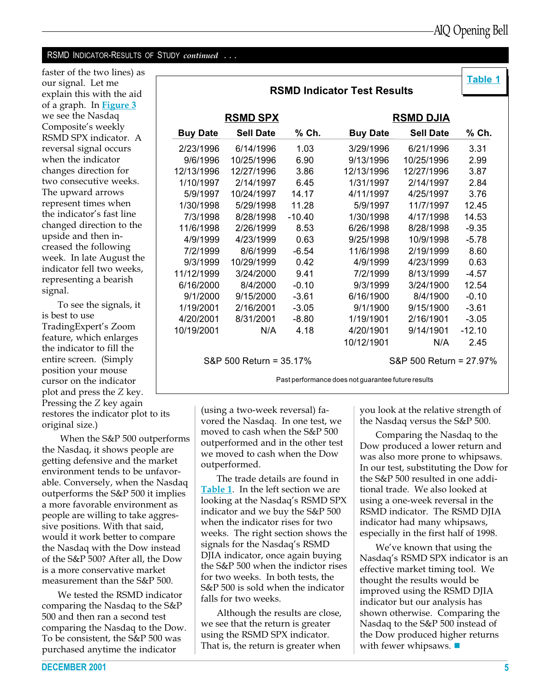# RSMD INDICATOR-RESULTS OF STUDY continued . . .

faster of the two lines) as our signal. Let me explain this with the aid of a graph. In **Figure 3** we see the Nasdaq Composite's weekly RSMD SPX indicator. A reversal signal occurs when the indicator changes direction for two consecutive weeks. The upward arrows represent times when the indicator's fast line changed direction to the upside and then increased the following week. In late August the indicator fell two weeks, representing a bearish signal.

To see the signals, it is best to use TradingExpert's Zoom feature, which enlarges the indicator to fill the entire screen. (Simply position your mouse cursor on the indicator plot and press the Z key. Pressing the Z key again restores the indicator plot to its original size.)

 When the S&P 500 outperforms the Nasdaq, it shows people are getting defensive and the market environment tends to be unfavorable. Conversely, when the Nasdaq outperforms the S&P 500 it implies a more favorable environment as people are willing to take aggressive positions. With that said, would it work better to compare the Nasdaq with the Dow instead of the S&P 500? After all, the Dow is a more conservative market measurement than the S&P 500.

We tested the RSMD indicator comparing the Nasdaq to the S&P 500 and then ran a second test comparing the Nasdaq to the Dow. To be consistent, the S&P 500 was purchased anytime the indicator

|                                     |                  |          | <b>RSMD Indicator Test Results</b> |                  | Table 1  |
|-------------------------------------|------------------|----------|------------------------------------|------------------|----------|
|                                     |                  |          |                                    |                  |          |
| <u>RSMD SPX</u><br><b>RSMD DJIA</b> |                  |          |                                    |                  |          |
| <b>Buy Date</b>                     | <b>Sell Date</b> | % Ch.    | <b>Buy Date</b>                    | <b>Sell Date</b> | % Ch.    |
| 2/23/1996                           | 6/14/1996        | 1.03     | 3/29/1996                          | 6/21/1996        | 3.31     |
| 9/6/1996                            | 10/25/1996       | 6.90     | 9/13/1996                          | 10/25/1996       | 2.99     |
| 12/13/1996                          | 12/27/1996       | 3.86     | 12/13/1996                         | 12/27/1996       | 3.87     |
| 1/10/1997                           | 2/14/1997        | 6.45     | 1/31/1997                          | 2/14/1997        | 2.84     |
| 5/9/1997                            | 10/24/1997       | 14.17    | 4/11/1997                          | 4/25/1997        | 3.76     |
| 1/30/1998                           | 5/29/1998        | 11.28    | 5/9/1997                           | 11/7/1997        | 12.45    |
| 7/3/1998                            | 8/28/1998        | $-10.40$ | 1/30/1998                          | 4/17/1998        | 14.53    |
| 11/6/1998                           | 2/26/1999        | 8.53     | 6/26/1998                          | 8/28/1998        | $-9.35$  |
| 4/9/1999                            | 4/23/1999        | 0.63     | 9/25/1998                          | 10/9/1998        | $-5.78$  |
| 7/2/1999                            | 8/6/1999         | -6.54    | 11/6/1998                          | 2/19/1999        | 8.60     |
| 9/3/1999                            | 10/29/1999       | 0.42     | 4/9/1999                           | 4/23/1999        | 0.63     |
| 11/12/1999                          | 3/24/2000        | 9.41     | 7/2/1999                           | 8/13/1999        | -4.57    |
| 6/16/2000                           | 8/4/2000         | $-0.10$  | 9/3/1999                           | 3/24/1900        | 12.54    |
| 9/1/2000                            | 9/15/2000        | $-3.61$  | 6/16/1900                          | 8/4/1900         | $-0.10$  |
| 1/19/2001                           | 2/16/2001        | $-3.05$  | 9/1/1900                           | 9/15/1900        | $-3.61$  |
| 4/20/2001                           | 8/31/2001        | $-8.80$  | 1/19/1901                          | 2/16/1901        | $-3.05$  |
| 10/19/2001                          | N/A              | 4.18     | 4/20/1901                          | 9/14/1901        | $-12.10$ |
|                                     |                  |          | 10/12/1901                         | N/A              | 2.45     |

S&P 500 Return = 35.17% S&P 500 Return = 27.97%

Past performance does not guarantee future results

(using a two-week reversal) favored the Nasdaq. In one test, we moved to cash when the S&P 500 outperformed and in the other test we moved to cash when the Dow outperformed.

The trade details are found in Table 1. In the left section we are looking at the Nasdaq's RSMD SPX indicator and we buy the S&P 500 when the indicator rises for two weeks. The right section shows the signals for the Nasdaq's RSMD DJIA indicator, once again buying the S&P 500 when the indictor rises for two weeks. In both tests, the S&P 500 is sold when the indicator falls for two weeks.

Although the results are close, we see that the return is greater using the RSMD SPX indicator. That is, the return is greater when

you look at the relative strength of the Nasdaq versus the S&P 500.

Comparing the Nasdaq to the Dow produced a lower return and was also more prone to whipsaws. In our test, substituting the Dow for the S&P 500 resulted in one additional trade. We also looked at using a one-week reversal in the RSMD indicator. The RSMD DJIA indicator had many whipsaws, especially in the first half of 1998.

We've known that using the Nasdaq's RSMD SPX indicator is an effective market timing tool. We thought the results would be improved using the RSMD DJIA indicator but our analysis has shown otherwise. Comparing the Nasdaq to the S&P 500 instead of the Dow produced higher returns with fewer whipsaws.  $\blacksquare$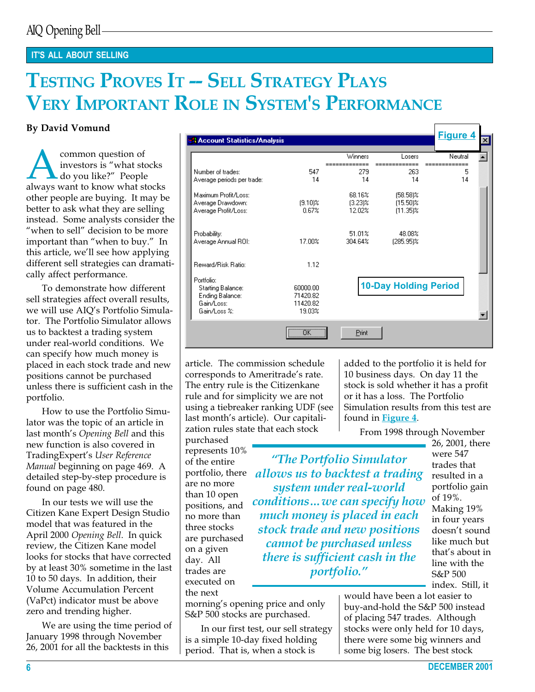# IT'S ALL ABOUT SELLING

# TESTING PROVES IT -- SELL STRATEGY PLAYS VERY IMPORTANT ROLE IN SYSTEM'S PERFORMANCE

To demonstrate how different sell strategies affect overall results, we will use AIQ's Portfolio Simulator. The Portfolio Simulator allows us to backtest a trading system under real-world conditions. We can specify how much money is placed in each stock trade and new positions cannot be purchased unless there is sufficient cash in the portfolio.

How to use the Portfolio Simulator was the topic of an article in last month's Opening Bell and this new function is also covered in TradingExpert's User Reference Manual beginning on page 469. A detailed step-by-step procedure is found on page 480.

In our tests we will use the Citizen Kane Expert Design Studio model that was featured in the April 2000 Opening Bell. In quick review, the Citizen Kane model looks for stocks that have corrected by at least 30% sometime in the last 10 to 50 days. In addition, their Volume Accumulation Percent (VaPct) indicator must be above zero and trending higher.

We are using the time period of January 1998 through November 26, 2001 for all the backtests in this

| <b>By David Vomund</b>                                                                                                                                |                                                                                  |                                            |                                |                                           | <b>Figure 4</b> |  |
|-------------------------------------------------------------------------------------------------------------------------------------------------------|----------------------------------------------------------------------------------|--------------------------------------------|--------------------------------|-------------------------------------------|-----------------|--|
|                                                                                                                                                       | <b>A Account Statistics/Analysis</b>                                             |                                            |                                |                                           |                 |  |
| common question of<br>investors is "what stocks"                                                                                                      |                                                                                  |                                            | Winners                        | Losers                                    | Neutral         |  |
| $\blacktriangle$ do you like?" People                                                                                                                 | Number of trades:                                                                | 547                                        | 279                            | 263                                       | 5               |  |
| always want to know what stocks                                                                                                                       | Average periods per trade:                                                       | 14                                         | 14                             | 14                                        | 14              |  |
| other people are buying. It may be<br>better to ask what they are selling<br>instead. Some analysts consider the                                      | Maximum Profit/Loss:<br>Average Drawdown:<br>Average Profit/Loss:                | $(9.10)$ %<br>0.67%                        | 68.16%<br>$(3.23)\%$<br>12.02% | $(58.58)\%$<br>$(15.50)$ %<br>$(11.35)$ % |                 |  |
| "when to sell" decision to be more<br>important than "when to buy." In<br>this article, we'll see how applying                                        | Probability:<br>Average Annual ROI:                                              | 17.00%                                     | 51.01%<br>304.64%              | 48.08%<br>(285.95)%                       |                 |  |
| different sell strategies can dramati-<br>cally affect performance.                                                                                   | Reward/Risk Ratio:                                                               | 1.12                                       |                                |                                           |                 |  |
| To demonstrate how different<br>sell strategies affect overall results,<br>we will use AIQ's Portfolio Simula-<br>tor. The Portfolio Simulator allows | Portfolio:<br>Starting Balance:<br>Ending Balance:<br>Gain/Loss:<br>Gain/Loss %: | 60000.00<br>71420.82<br>11420.82<br>19.03% |                                | <b>10-Day Holding Period</b>              |                 |  |
| us to backtest a trading system<br>under real-world conditions. We                                                                                    |                                                                                  | ΰK.                                        | Print                          |                                           |                 |  |

article. The commission schedule corresponds to Ameritrade's rate. The entry rule is the Citizenkane rule and for simplicity we are not using a tiebreaker ranking UDF (see last month's article). Our capitalization rules state that each stock

purchased represents 10% of the entire are no more than 10 open positions, and no more than three stocks are purchased on a given day. All trades are executed on the next

morning's opening price and only S&P 500 stocks are purchased.

In our first test, our sell strategy is a simple 10-day fixed holding period. That is, when a stock is

added to the portfolio it is held for 10 business days. On day 11 the stock is sold whether it has a profit or it has a loss. The Portfolio Simulation results from this test are found in **Figure 4**.

From 1998 through November

portfolio, there *allows us to backtest a trading* The Portfolio Simulator system under real-world conditions... we can specify how much money is placed in each stock trade and new positions cannot be purchased unless there is sufficient cash in the portfolio.

26, 2001, there were 547 trades that resulted in a portfolio gain of 19%. Making 19% in four years doesn't sound like much but that's about in line with the S&P 500 index. Still, it

would have been a lot easier to buy-and-hold the S&P 500 instead of placing 547 trades. Although stocks were only held for 10 days, there were some big winners and some big losers. The best stock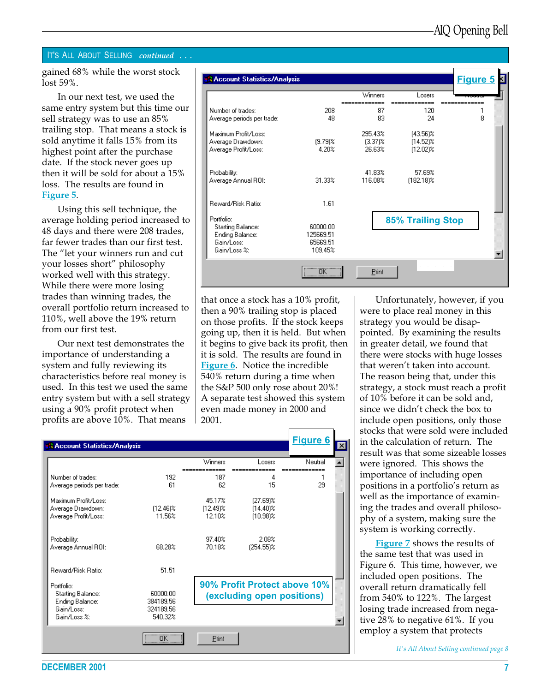## IT'S ALL ABOUT SELLING continued . . .

gained 68% while the worst stock lost 59%.

In our next test, we used the same entry system but this time our sell strategy was to use an 85% trailing stop. That means a stock is sold anytime it falls 15% from its highest point after the purchase date. If the stock never goes up then it will be sold for about a 15% loss. The results are found in Figure 5.

Using this sell technique, the average holding period increased to 48 days and there were 208 trades, far fewer trades than our first test. The "let your winners run and cut your losses short" philosophy worked well with this strategy. While there were more losing trades than winning trades, the overall portfolio return increased to 110%, well above the 19% return from our first test.

Our next test demonstrates the importance of understanding a system and fully reviewing its characteristics before real money is used. In this test we used the same entry system but with a sell strategy using a 90% profit protect when profits are above 10%. That means

| <b>A Account Statistics/Analysis</b>                                                    |                                              |                                 |                                           | <b>Figure 5</b> |
|-----------------------------------------------------------------------------------------|----------------------------------------------|---------------------------------|-------------------------------------------|-----------------|
|                                                                                         |                                              | Winners                         | Losers                                    |                 |
| Number of trades:<br>Average periods per trade:                                         | 208<br>48                                    | 87<br>83                        | 120<br>24                                 | 8               |
| Maximum Profit/Loss:<br>Average Drawdown:<br>Average Profit/Loss:                       | $(9.79)$ %<br>4.20%                          | 295.43%<br>$(3.37)$ %<br>26.63% | $[43.56]$ %<br>$(14.52)$ %<br>$(12.02)\%$ |                 |
| Probability:<br>Average Annual ROI:                                                     | 31.33%                                       | 41.83%<br>116.08%               | 57.69%<br>$[182.18]$ %                    |                 |
| Reward/Risk Ratio:                                                                      | 1.61                                         |                                 |                                           |                 |
| Portfolio:<br><b>Starting Balance:</b><br>Ending Balance:<br>Gain/Loss:<br>Gain/Loss %: | 60000.00<br>125669.51<br>65669.51<br>109.45% |                                 | <b>85% Trailing Stop</b>                  |                 |
|                                                                                         | $\overline{\mathsf{nk}}$                     | Print                           |                                           |                 |

that once a stock has a 10% profit, then a 90% trailing stop is placed on those profits. If the stock keeps going up, then it is held. But when it begins to give back its profit, then it is sold. The results are found in Figure 6. Notice the incredible 540% return during a time when the S&P 500 only rose about 20%! A separate test showed this system even made money in 2000 and 2001.

| <b>A Account Statistics/Analysis</b>                                                    |                                               |                                 |                                           | <b>Figure 6</b><br>$\vert x \vert$ |
|-----------------------------------------------------------------------------------------|-----------------------------------------------|---------------------------------|-------------------------------------------|------------------------------------|
|                                                                                         |                                               | Winners                         | Losers                                    | Neutral                            |
| Number of trades:<br>Average periods per trade:                                         | 192<br>61                                     | 187<br>62                       | 4<br>15                                   | 29                                 |
| Maximum Profit/Loss:<br>Average Drawdown:<br>Average Profit/Loss:                       | $(12.46)\%$<br>11.56%                         | 45.17%<br>$[12.49]$ %<br>12.10% | $[27.69]$ %<br>$(14.40)$ %<br>$(10.98)$ % |                                    |
| Probability:<br>Average Annual ROI:                                                     | 68.28%                                        | 97.40%<br>70.18%                | 2.08%<br>$[254.55]$ %                     |                                    |
| Reward/Risk Ratio:                                                                      | 51.51                                         |                                 |                                           |                                    |
| Portfolio:<br><b>Starting Balance:</b><br>Ending Balance:<br>Gain/Loss:<br>Gain/Loss %: | 60000.00<br>384189.56<br>324189.56<br>540.32% |                                 | (excluding open positions)                | 90% Profit Protect above 10%       |
|                                                                                         |                                               |                                 |                                           |                                    |
|                                                                                         |                                               | Print                           |                                           |                                    |

Unfortunately, however, if you were to place real money in this strategy you would be disappointed. By examining the results in greater detail, we found that there were stocks with huge losses that weren't taken into account. The reason being that, under this strategy, a stock must reach a profit of 10% before it can be sold and, since we didn't check the box to include open positions, only those stocks that were sold were included in the calculation of return. The result was that some sizeable losses were ignored. This shows the importance of including open positions in a portfolio's return as well as the importance of examining the trades and overall philosophy of a system, making sure the system is working correctly.

Figure 7 shows the results of the same test that was used in Figure 6. This time, however, we included open positions. The overall return dramatically fell from 540% to 122%. The largest losing trade increased from negative 28% to negative 61%. If you employ a system that protects

It's All About Selling continued page 8